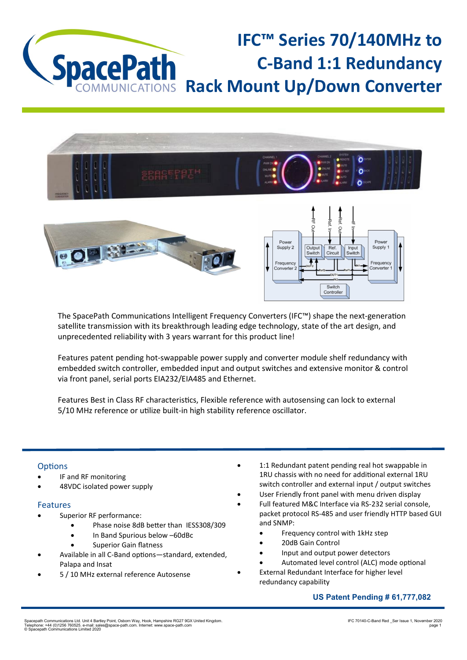



The SpacePath Communications Intelligent Frequency Converters (IFC™) shape the next-generation satellite transmission with its breakthrough leading edge technology, state of the art design, and unprecedented reliability with 3 years warrant for this product line!

Features patent pending hot-swappable power supply and converter module shelf redundancy with embedded switch controller, embedded input and output switches and extensive monitor & control via front panel, serial ports EIA232/EIA485 and Ethernet.

Features Best in Class RF characteristics, Flexible reference with autosensing can lock to external 5/10 MHz reference or utilize built-in high stability reference oscillator.

## **Options**

- IF and RF monitoring
- 48VDC isolated power supply

## Features

- Superior RF performance:
	- Phase noise 8dB better than IESS308/309
	- In Band Spurious below –60dBc
	- Superior Gain flatness
- Available in all C-Band options—standard, extended, Palapa and Insat
- 5 / 10 MHz external reference Autosense
- 1:1 Redundant patent pending real hot swappable in 1RU chassis with no need for additional external 1RU switch controller and external input / output switches
- User Friendly front panel with menu driven display
- Full featured M&C Interface via RS-232 serial console, packet protocol RS-485 and user friendly HTTP based GUI and SNMP:
	- Frequency control with 1kHz step
	- 20dB Gain Control
	- Input and output power detectors
	- Automated level control (ALC) mode optional
	- External Redundant Interface for higher level redundancy capability

## **US Patent Pending # 61,777,082**

Spacepath Communications Ltd. Unit 4 Bartley Point, Osborn Way, Hook, Hampshire RG27 9GX United Kingdom.<br>Telephone: +44 (0)1256 760525. e-mail: sales@space-path.com. Internet: www.space-path.com<br>© Spacepath Communications